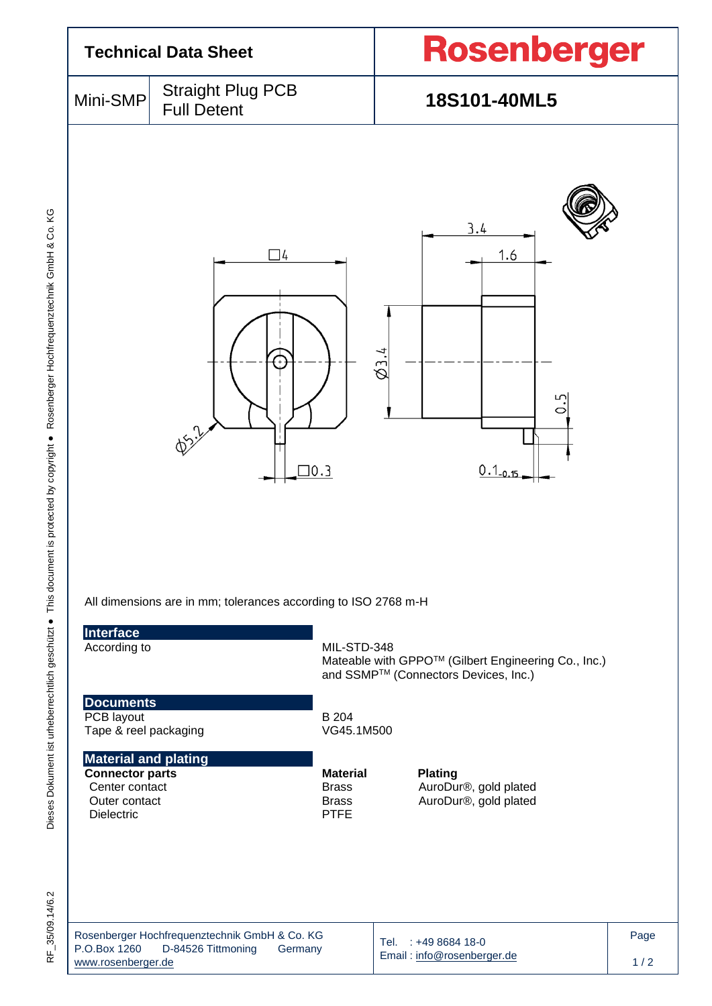